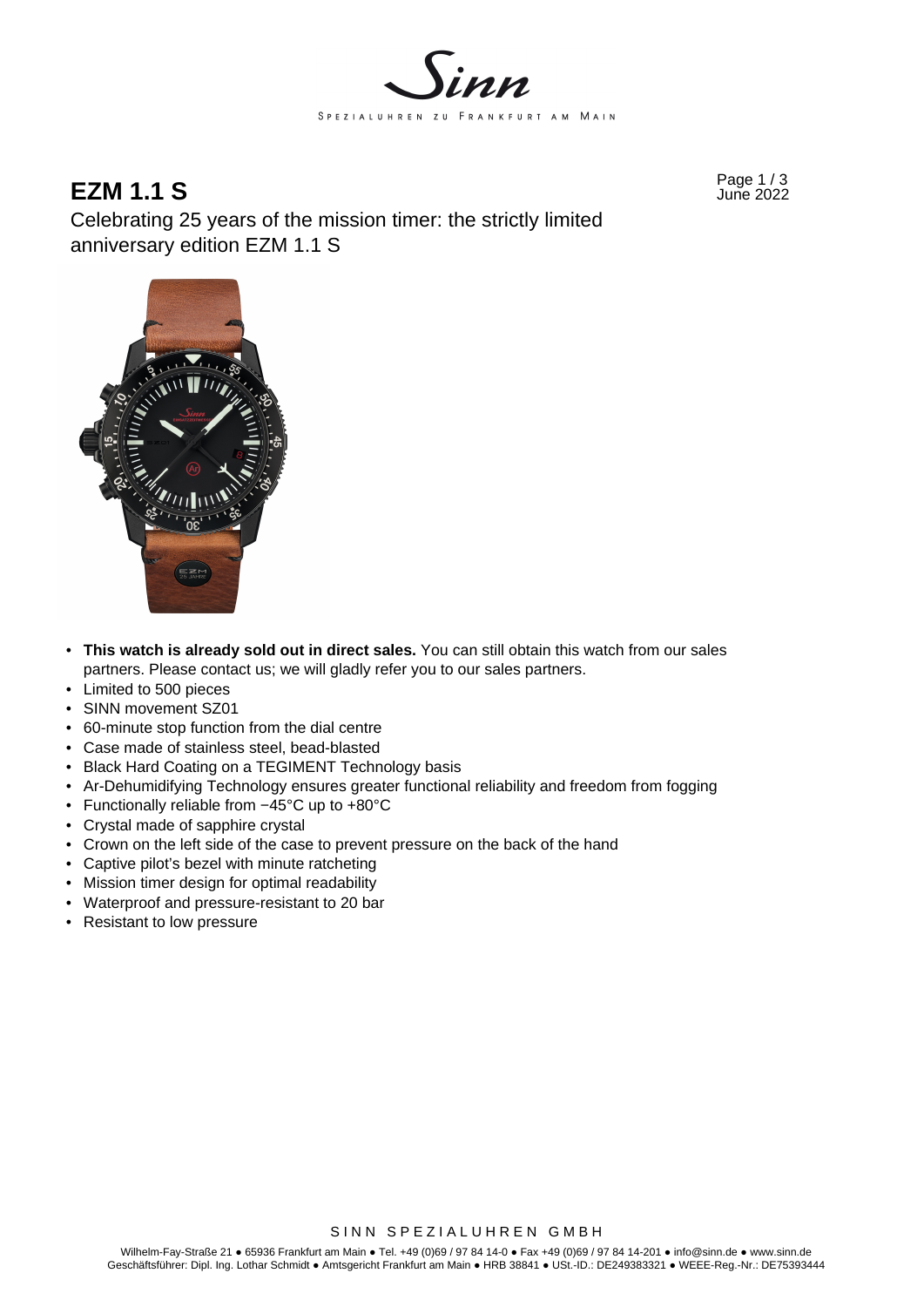

## Page 1 / 3 **EZM 1.1 S** June 2022

Celebrating 25 years of the mission timer: the strictly limited anniversary edition EZM 1.1 S



- **This watch is already sold out in direct sales.** You can still obtain this watch from our sales partners. Please contact us; we will gladly refer you to our sales partners.
- Limited to 500 pieces
- SINN movement SZ01
- 60-minute stop function from the dial centre
- Case made of stainless steel, bead-blasted
- Black Hard Coating on a TEGIMENT Technology basis
- Ar-Dehumidifying Technology ensures greater functional reliability and freedom from fogging
- Functionally reliable from −45°C up to +80°C
- Crystal made of sapphire crystal
- Crown on the left side of the case to prevent pressure on the back of the hand
- Captive pilot's bezel with minute ratcheting
- Mission timer design for optimal readability
- Waterproof and pressure-resistant to 20 bar
- Resistant to low pressure

SINN SPEZIALUHREN GMBH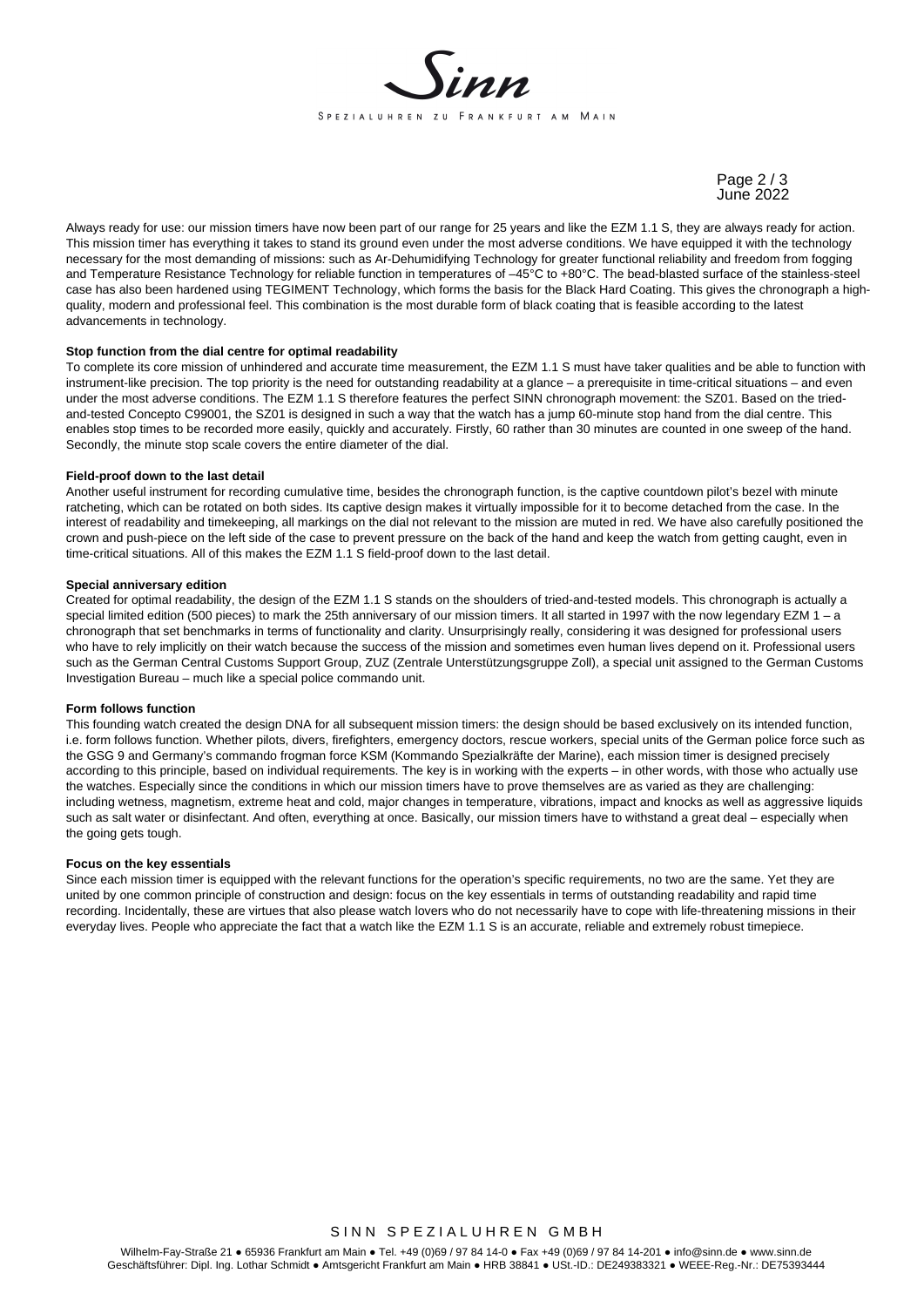

Page 2 / 3 June 2022

Always ready for use: our mission timers have now been part of our range for 25 years and like the EZM 1.1 S, they are always ready for action. This mission timer has everything it takes to stand its ground even under the most adverse conditions. We have equipped it with the technology necessary for the most demanding of missions: such as Ar-Dehumidifying Technology for greater functional reliability and freedom from fogging and Temperature Resistance Technology for reliable function in temperatures of –45°C to +80°C. The bead-blasted surface of the stainless-steel case has also been hardened using TEGIMENT Technology, which forms the basis for the Black Hard Coating. This gives the chronograph a highquality, modern and professional feel. This combination is the most durable form of black coating that is feasible according to the latest advancements in technology.

#### **Stop function from the dial centre for optimal readability**

To complete its core mission of unhindered and accurate time measurement, the EZM 1.1 S must have taker qualities and be able to function with instrument-like precision. The top priority is the need for outstanding readability at a glance – a prerequisite in time-critical situations – and even under the most adverse conditions. The EZM 1.1 S therefore features the perfect SINN chronograph movement: the SZ01. Based on the triedand-tested Concepto C99001, the SZ01 is designed in such a way that the watch has a jump 60-minute stop hand from the dial centre. This enables stop times to be recorded more easily, quickly and accurately. Firstly, 60 rather than 30 minutes are counted in one sweep of the hand. Secondly, the minute stop scale covers the entire diameter of the dial.

#### **Field-proof down to the last detail**

Another useful instrument for recording cumulative time, besides the chronograph function, is the captive countdown pilot's bezel with minute ratcheting, which can be rotated on both sides. Its captive design makes it virtually impossible for it to become detached from the case. In the interest of readability and timekeeping, all markings on the dial not relevant to the mission are muted in red. We have also carefully positioned the crown and push-piece on the left side of the case to prevent pressure on the back of the hand and keep the watch from getting caught, even in time-critical situations. All of this makes the EZM 1.1 S field-proof down to the last detail.

#### **Special anniversary edition**

Created for optimal readability, the design of the EZM 1.1 S stands on the shoulders of tried-and-tested models. This chronograph is actually a special limited edition (500 pieces) to mark the 25th anniversary of our mission timers. It all started in 1997 with the now legendary EZM 1 - a chronograph that set benchmarks in terms of functionality and clarity. Unsurprisingly really, considering it was designed for professional users who have to rely implicitly on their watch because the success of the mission and sometimes even human lives depend on it. Professional users such as the German Central Customs Support Group, ZUZ (Zentrale Unterstützungsgruppe Zoll), a special unit assigned to the German Customs Investigation Bureau – much like a special police commando unit.

#### **Form follows function**

This founding watch created the design DNA for all subsequent mission timers: the design should be based exclusively on its intended function. i.e. form follows function. Whether pilots, divers, firefighters, emergency doctors, rescue workers, special units of the German police force such as the GSG 9 and Germany's commando frogman force KSM (Kommando Spezialkräfte der Marine), each mission timer is designed precisely according to this principle, based on individual requirements. The key is in working with the experts – in other words, with those who actually use the watches. Especially since the conditions in which our mission timers have to prove themselves are as varied as they are challenging: including wetness, magnetism, extreme heat and cold, major changes in temperature, vibrations, impact and knocks as well as aggressive liquids such as salt water or disinfectant. And often, everything at once. Basically, our mission timers have to withstand a great deal – especially when the going gets tough.

#### **Focus on the key essentials**

Since each mission timer is equipped with the relevant functions for the operation's specific requirements, no two are the same. Yet they are united by one common principle of construction and design: focus on the key essentials in terms of outstanding readability and rapid time recording. Incidentally, these are virtues that also please watch lovers who do not necessarily have to cope with life-threatening missions in their everyday lives. People who appreciate the fact that a watch like the EZM 1.1 S is an accurate, reliable and extremely robust timepiece.